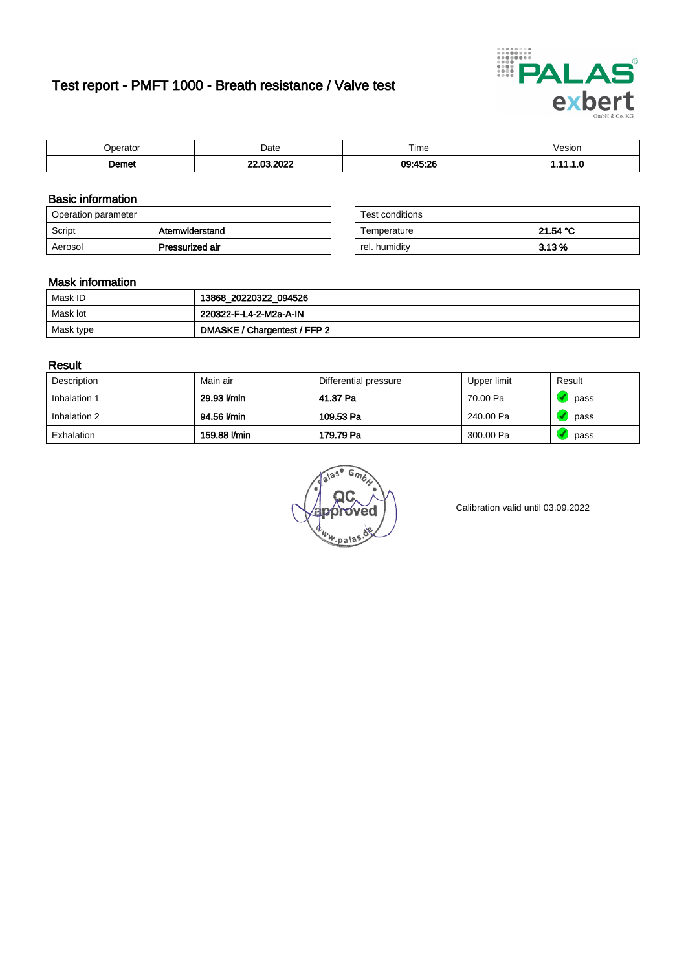# Test report - PMFT 1000 - Breath resistance / Valve test



| $ -$  | Date  | $- \cdot$<br>Time | esion/ |
|-------|-------|-------------------|--------|
| ിemet | 0.000 | 00.45.26          | .      |

### Basic information

| Operation parameter |                 | Test conditions |          |
|---------------------|-----------------|-----------------|----------|
| Script              | Atemwiderstand  | Temperature     | 21.54 °C |
| Aerosol             | Pressurized air | rel. humidity   | 3.13%    |

| Test conditions |          |
|-----------------|----------|
| Temperature     | 21.54 °C |
| rel. humidity   | 3.13%    |

#### Mask information

| Mask ID   | 13868_20220322_094526        |
|-----------|------------------------------|
| Mask lot  | 220322-F-L4-2-M2a-A-IN       |
| Mask type | DMASKE / Chargentest / FFP 2 |

### Result

| Description  | Main air     | Differential pressure | Upper limit | Result |
|--------------|--------------|-----------------------|-------------|--------|
| Inhalation 1 | 29.93 l/min  | 41.37 Pa              | 70.00 Pa    | pass   |
| Inhalation 2 | 94.56 l/min  | 109.53 Pa             | 240.00 Pa   | pass   |
| Exhalation   | 159.88 l/min | 179.79 Pa             | 300.00 Pa   | pass   |

w.pala

Calibration valid until 03.09.2022